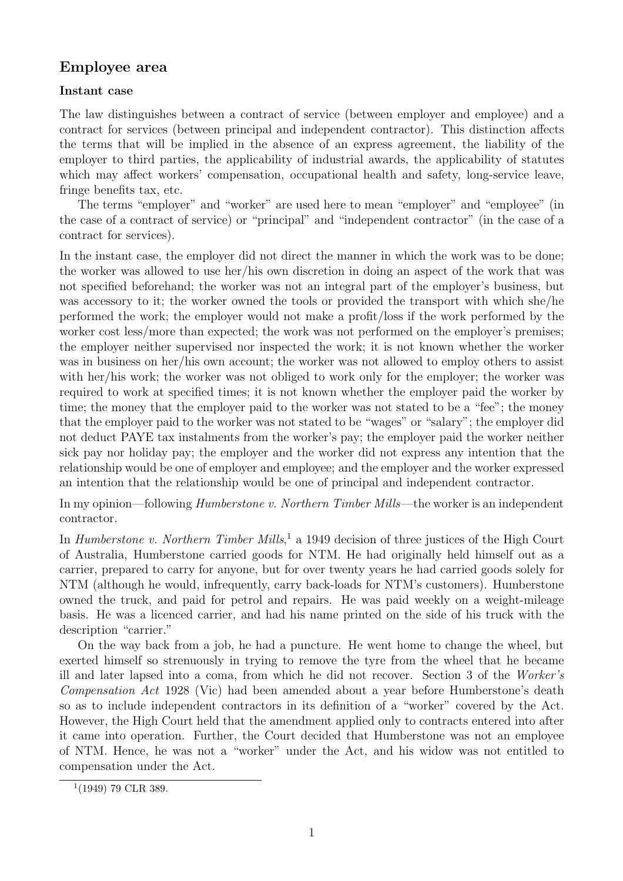## **Employee area**

## **Instant case**

The law distinguishes between a contract of service (between employer and employee) and a contract for services (between principal and independent contractor). This distinction affects the terms that will be implied in the absence of an express agreement, the liability of the employer to third parties, the applicability of industrial awards, the applicability of statutes which may affect workers' compensation, occupational health and safety, long-service leave, fringe benefits tax, etc.

The terms "employer" and "worker" are used here to mean "employer" and "employee" (in the case of a contract of service) or "principal" and "independent contractor" (in the case of a contract for services).

In the instant case, the employer did not direct the manner in which the work was to be done; the worker was allowed to use her/his own discretion in doing an aspect of the work that was not specified beforehand; the worker was not an integral part of the employer's business, but was accessory to it; the worker owned the tools or provided the transport with which she/he performed the work; the employer would not make a profit/loss if the work performed by the worker cost less/more than expected; the work was not performed on the employer's premises; the employer neither supervised nor inspected the work; it is not known whether the worker was in business on her/his own account; the worker was not allowed to employ others to assist with her/his work; the worker was not obliged to work only for the employer; the worker was required to work at specified times; it is not known whether the employer paid the worker by time; the money that the employer paid to the worker was not stated to be a "fee"; the money that the employer paid to the worker was not stated to be "wages" or "salary"; the employer did not deduct PAYE tax instalments from the worker's pay; the employer paid the worker neither sick pay nor holiday pay; the employer and the worker did not express any intention that the relationship would be one of employer and employee; and the employer and the worker expressed an intention that the relationship would be one of principal and independent contractor.

In my opinion—following Humberstone v. Northern Timber Mills—the worker is an independent contractor.

In *Humberstone v. Northern Timber Mills*,<sup>1</sup> a 1949 decision of three justices of the High Court of Australia, Humberstone carried goods for NTM. He had originally held himself out as a carrier, prepared to carry for anyone, but for over twenty years he had carried goods solely for NTM (although he would, infrequently, carry back-loads for NTM's customers). Humberstone owned the truck, and paid for petrol and repairs. He was paid weekly on a weight-mileage basis. He was a licenced carrier, and had his name printed on the side of his truck with the description "carrier."

On the way back from a job, he had a puncture. He went home to change the wheel, but exerted himself so strenuously in trying to remove the tyre from the wheel that he became ill and later lapsed into a coma, from which he did not recover. Section 3 of the Worker's Compensation Act 1928 (Vic) had been amended about a year before Humberstone's death so as to include independent contractors in its definition of a "worker" covered by the Act. However, the High Court held that the amendment applied only to contracts entered into after it came into operation. Further, the Court decided that Humberstone was not an employee of NTM. Hence, he was not a "worker" under the Act, and his widow was not entitled to compensation under the Act.

 $1(1949)$  79 CLR 389.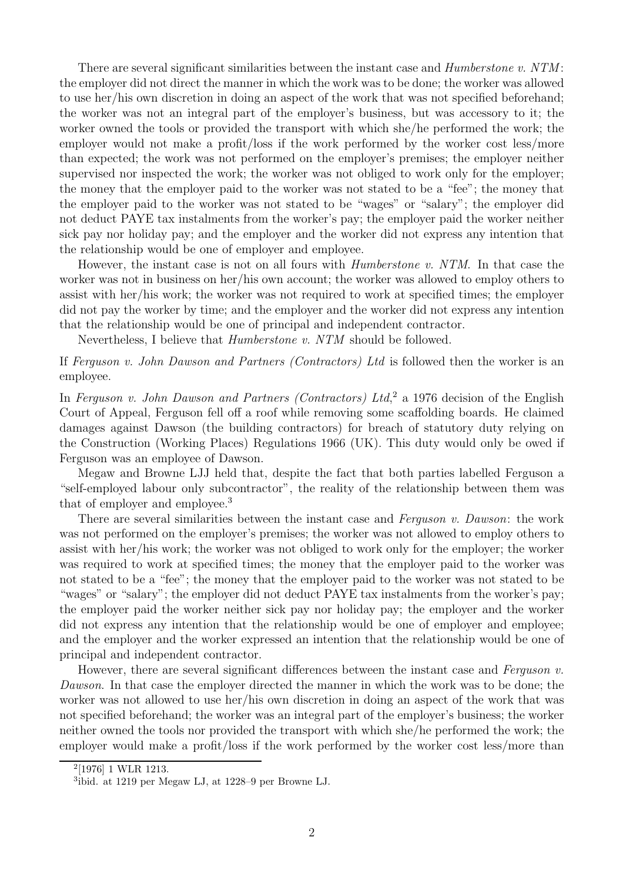There are several significant similarities between the instant case and *Humberstone v. NTM*: the employer did not direct the manner in which the work was to be done; the worker was allowed to use her/his own discretion in doing an aspect of the work that was not specified beforehand; the worker was not an integral part of the employer's business, but was accessory to it; the worker owned the tools or provided the transport with which she/he performed the work; the employer would not make a profit/loss if the work performed by the worker cost less/more than expected; the work was not performed on the employer's premises; the employer neither supervised nor inspected the work; the worker was not obliged to work only for the employer; the money that the employer paid to the worker was not stated to be a "fee"; the money that the employer paid to the worker was not stated to be "wages" or "salary"; the employer did not deduct PAYE tax instalments from the worker's pay; the employer paid the worker neither sick pay nor holiday pay; and the employer and the worker did not express any intention that the relationship would be one of employer and employee.

However, the instant case is not on all fours with Humberstone v. NTM. In that case the worker was not in business on her/his own account; the worker was allowed to employ others to assist with her/his work; the worker was not required to work at specified times; the employer did not pay the worker by time; and the employer and the worker did not express any intention that the relationship would be one of principal and independent contractor.

Nevertheless, I believe that Humberstone v. NTM should be followed.

If Ferguson v. John Dawson and Partners (Contractors) Ltd is followed then the worker is an employee.

In Ferguson v. John Dawson and Partners (Contractors) Ltd,<sup>2</sup> a 1976 decision of the English Court of Appeal, Ferguson fell off a roof while removing some scaffolding boards. He claimed damages against Dawson (the building contractors) for breach of statutory duty relying on the Construction (Working Places) Regulations 1966 (UK). This duty would only be owed if Ferguson was an employee of Dawson.

Megaw and Browne LJJ held that, despite the fact that both parties labelled Ferguson a "self-employed labour only subcontractor", the reality of the relationship between them was that of employer and employee.<sup>3</sup>

There are several similarities between the instant case and Ferguson v. Dawson: the work was not performed on the employer's premises; the worker was not allowed to employ others to assist with her/his work; the worker was not obliged to work only for the employer; the worker was required to work at specified times; the money that the employer paid to the worker was not stated to be a "fee"; the money that the employer paid to the worker was not stated to be "wages" or "salary"; the employer did not deduct PAYE tax instalments from the worker's pay; the employer paid the worker neither sick pay nor holiday pay; the employer and the worker did not express any intention that the relationship would be one of employer and employee; and the employer and the worker expressed an intention that the relationship would be one of principal and independent contractor.

However, there are several significant differences between the instant case and Ferguson  $v$ . Dawson. In that case the employer directed the manner in which the work was to be done; the worker was not allowed to use her/his own discretion in doing an aspect of the work that was not specified beforehand; the worker was an integral part of the employer's business; the worker neither owned the tools nor provided the transport with which she/he performed the work; the employer would make a profit/loss if the work performed by the worker cost less/more than

<sup>2</sup>[1976] 1 WLR 1213.

<sup>3</sup>ibid. at 1219 per Megaw LJ, at 1228–9 per Browne LJ.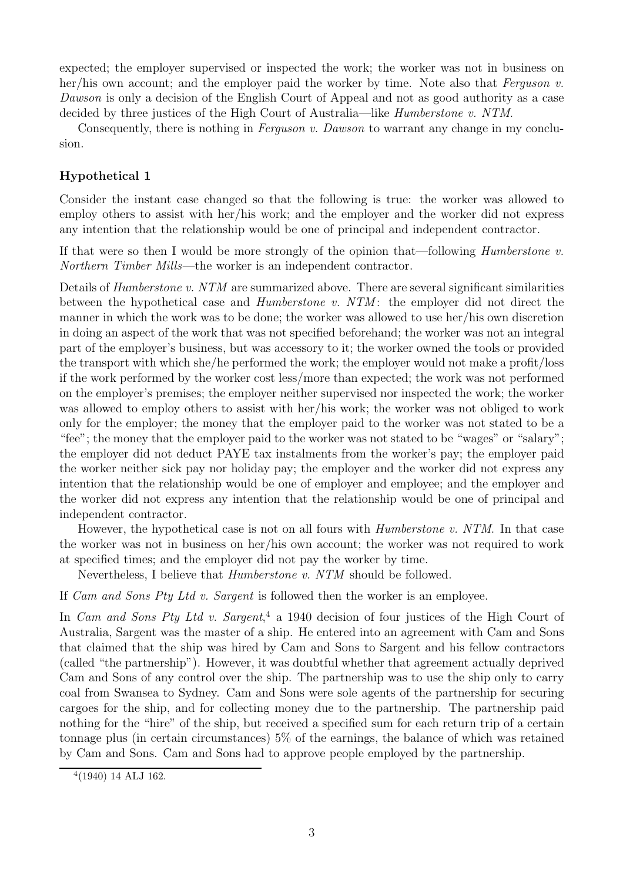expected; the employer supervised or inspected the work; the worker was not in business on her/his own account; and the employer paid the worker by time. Note also that Ferguson  $v$ . Dawson is only a decision of the English Court of Appeal and not as good authority as a case decided by three justices of the High Court of Australia—like Humberstone v. NTM.

Consequently, there is nothing in *Ferguson v. Dawson* to warrant any change in my conclusion.

## **Hypothetical 1**

Consider the instant case changed so that the following is true: the worker was allowed to employ others to assist with her/his work; and the employer and the worker did not express any intention that the relationship would be one of principal and independent contractor.

If that were so then I would be more strongly of the opinion that—following *Humberstone v*. Northern Timber Mills—the worker is an independent contractor.

Details of *Humberstone v. NTM* are summarized above. There are several significant similarities between the hypothetical case and *Humberstone v. NTM*: the employer did not direct the manner in which the work was to be done; the worker was allowed to use her/his own discretion in doing an aspect of the work that was not specified beforehand; the worker was not an integral part of the employer's business, but was accessory to it; the worker owned the tools or provided the transport with which she/he performed the work; the employer would not make a profit/loss if the work performed by the worker cost less/more than expected; the work was not performed on the employer's premises; the employer neither supervised nor inspected the work; the worker was allowed to employ others to assist with her/his work; the worker was not obliged to work only for the employer; the money that the employer paid to the worker was not stated to be a "fee"; the money that the employer paid to the worker was not stated to be "wages" or "salary"; the employer did not deduct PAYE tax instalments from the worker's pay; the employer paid the worker neither sick pay nor holiday pay; the employer and the worker did not express any intention that the relationship would be one of employer and employee; and the employer and the worker did not express any intention that the relationship would be one of principal and independent contractor.

However, the hypothetical case is not on all fours with *Humberstone v. NTM*. In that case the worker was not in business on her/his own account; the worker was not required to work at specified times; and the employer did not pay the worker by time.

Nevertheless, I believe that Humberstone v. NTM should be followed.

If Cam and Sons Pty Ltd v. Sargent is followed then the worker is an employee.

In *Cam and Sons Pty Ltd v. Sargent*,<sup>4</sup> a 1940 decision of four justices of the High Court of Australia, Sargent was the master of a ship. He entered into an agreement with Cam and Sons that claimed that the ship was hired by Cam and Sons to Sargent and his fellow contractors (called "the partnership"). However, it was doubtful whether that agreement actually deprived Cam and Sons of any control over the ship. The partnership was to use the ship only to carry coal from Swansea to Sydney. Cam and Sons were sole agents of the partnership for securing cargoes for the ship, and for collecting money due to the partnership. The partnership paid nothing for the "hire" of the ship, but received a specified sum for each return trip of a certain tonnage plus (in certain circumstances) 5% of the earnings, the balance of which was retained by Cam and Sons. Cam and Sons had to approve people employed by the partnership.

 $4(1940)$  14 ALJ 162.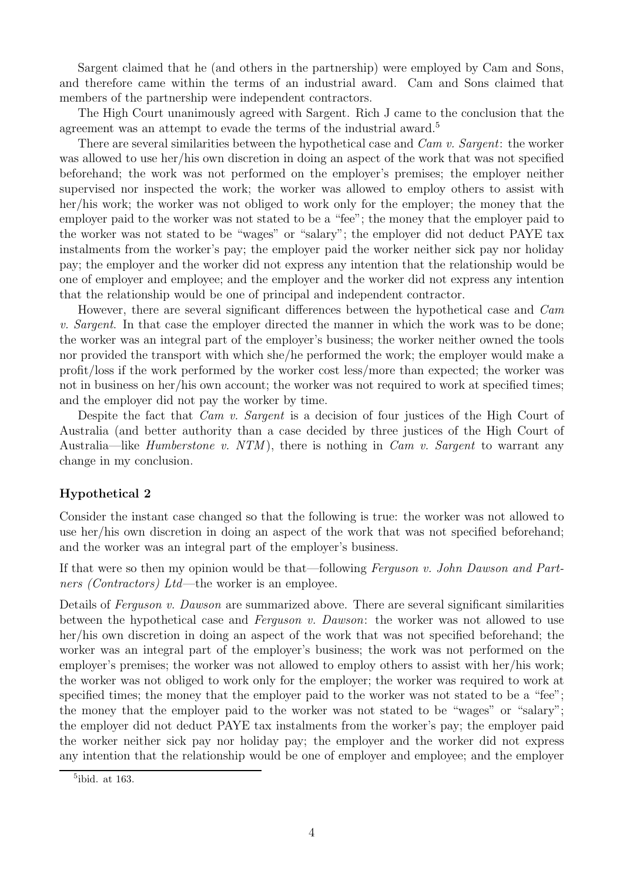Sargent claimed that he (and others in the partnership) were employed by Cam and Sons, and therefore came within the terms of an industrial award. Cam and Sons claimed that members of the partnership were independent contractors.

The High Court unanimously agreed with Sargent. Rich J came to the conclusion that the agreement was an attempt to evade the terms of the industrial award.<sup>5</sup>

There are several similarities between the hypothetical case and *Cam v. Sargent*: the worker was allowed to use her/his own discretion in doing an aspect of the work that was not specified beforehand; the work was not performed on the employer's premises; the employer neither supervised nor inspected the work; the worker was allowed to employ others to assist with her/his work; the worker was not obliged to work only for the employer; the money that the employer paid to the worker was not stated to be a "fee"; the money that the employer paid to the worker was not stated to be "wages" or "salary"; the employer did not deduct PAYE tax instalments from the worker's pay; the employer paid the worker neither sick pay nor holiday pay; the employer and the worker did not express any intention that the relationship would be one of employer and employee; and the employer and the worker did not express any intention that the relationship would be one of principal and independent contractor.

However, there are several significant differences between the hypothetical case and Cam v. Sargent. In that case the employer directed the manner in which the work was to be done; the worker was an integral part of the employer's business; the worker neither owned the tools nor provided the transport with which she/he performed the work; the employer would make a profit/loss if the work performed by the worker cost less/more than expected; the worker was not in business on her/his own account; the worker was not required to work at specified times; and the employer did not pay the worker by time.

Despite the fact that *Cam v. Sargent* is a decision of four justices of the High Court of Australia (and better authority than a case decided by three justices of the High Court of Australia—like *Humberstone v. NTM*), there is nothing in *Cam v. Sargent* to warrant any change in my conclusion.

## **Hypothetical 2**

Consider the instant case changed so that the following is true: the worker was not allowed to use her/his own discretion in doing an aspect of the work that was not specified beforehand; and the worker was an integral part of the employer's business.

If that were so then my opinion would be that—following Ferguson v. John Dawson and Partners *(Contractors)* Ltd—the worker is an employee.

Details of Ferguson v. Dawson are summarized above. There are several significant similarities between the hypothetical case and Ferguson v. Dawson: the worker was not allowed to use her/his own discretion in doing an aspect of the work that was not specified beforehand; the worker was an integral part of the employer's business; the work was not performed on the employer's premises; the worker was not allowed to employ others to assist with her/his work; the worker was not obliged to work only for the employer; the worker was required to work at specified times; the money that the employer paid to the worker was not stated to be a "fee"; the money that the employer paid to the worker was not stated to be "wages" or "salary"; the employer did not deduct PAYE tax instalments from the worker's pay; the employer paid the worker neither sick pay nor holiday pay; the employer and the worker did not express any intention that the relationship would be one of employer and employee; and the employer

 $5$ ibid. at 163.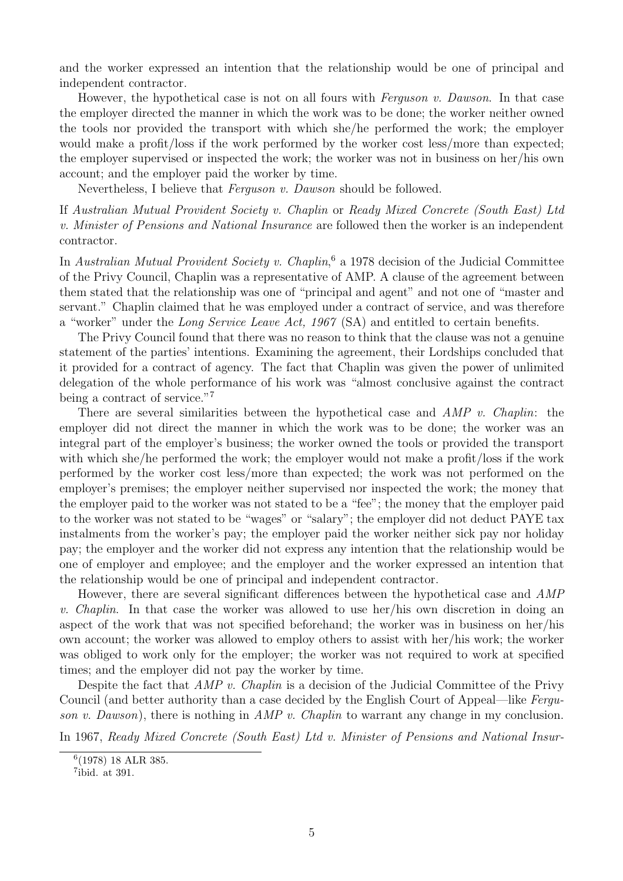and the worker expressed an intention that the relationship would be one of principal and independent contractor.

However, the hypothetical case is not on all fours with *Ferguson v. Dawson*. In that case the employer directed the manner in which the work was to be done; the worker neither owned the tools nor provided the transport with which she/he performed the work; the employer would make a profit/loss if the work performed by the worker cost less/more than expected; the employer supervised or inspected the work; the worker was not in business on her/his own account; and the employer paid the worker by time.

Nevertheless, I believe that Ferguson v. Dawson should be followed.

If Australian Mutual Provident Society v. Chaplin or Ready Mixed Concrete (South East) Ltd v. Minister of Pensions and National Insurance are followed then the worker is an independent contractor.

In Australian Mutual Provident Society v. Chaplin,<sup>6</sup> a 1978 decision of the Judicial Committee of the Privy Council, Chaplin was a representative of AMP. A clause of the agreement between them stated that the relationship was one of "principal and agent" and not one of "master and servant." Chaplin claimed that he was employed under a contract of service, and was therefore a "worker" under the Long Service Leave Act, 1967 (SA) and entitled to certain benefits.

The Privy Council found that there was no reason to think that the clause was not a genuine statement of the parties' intentions. Examining the agreement, their Lordships concluded that it provided for a contract of agency. The fact that Chaplin was given the power of unlimited delegation of the whole performance of his work was "almost conclusive against the contract being a contract of service."<sup>7</sup>

There are several similarities between the hypothetical case and AMP v. Chaplin: the employer did not direct the manner in which the work was to be done; the worker was an integral part of the employer's business; the worker owned the tools or provided the transport with which she/he performed the work; the employer would not make a profit/loss if the work performed by the worker cost less/more than expected; the work was not performed on the employer's premises; the employer neither supervised nor inspected the work; the money that the employer paid to the worker was not stated to be a "fee"; the money that the employer paid to the worker was not stated to be "wages" or "salary"; the employer did not deduct PAYE tax instalments from the worker's pay; the employer paid the worker neither sick pay nor holiday pay; the employer and the worker did not express any intention that the relationship would be one of employer and employee; and the employer and the worker expressed an intention that the relationship would be one of principal and independent contractor.

However, there are several significant differences between the hypothetical case and AMP v. Chaplin. In that case the worker was allowed to use her/his own discretion in doing an aspect of the work that was not specified beforehand; the worker was in business on her/his own account; the worker was allowed to employ others to assist with her/his work; the worker was obliged to work only for the employer; the worker was not required to work at specified times; and the employer did not pay the worker by time.

Despite the fact that *AMP v. Chaplin* is a decision of the Judicial Committee of the Privy Council (and better authority than a case decided by the English Court of Appeal—like Ferguson v. Dawson), there is nothing in  $AMP$  v. Chaplin to warrant any change in my conclusion.

In 1967, Ready Mixed Concrete (South East) Ltd v. Minister of Pensions and National Insur-

<sup>6</sup>(1978) 18 ALR 385.

 $7$ ibid. at 391.